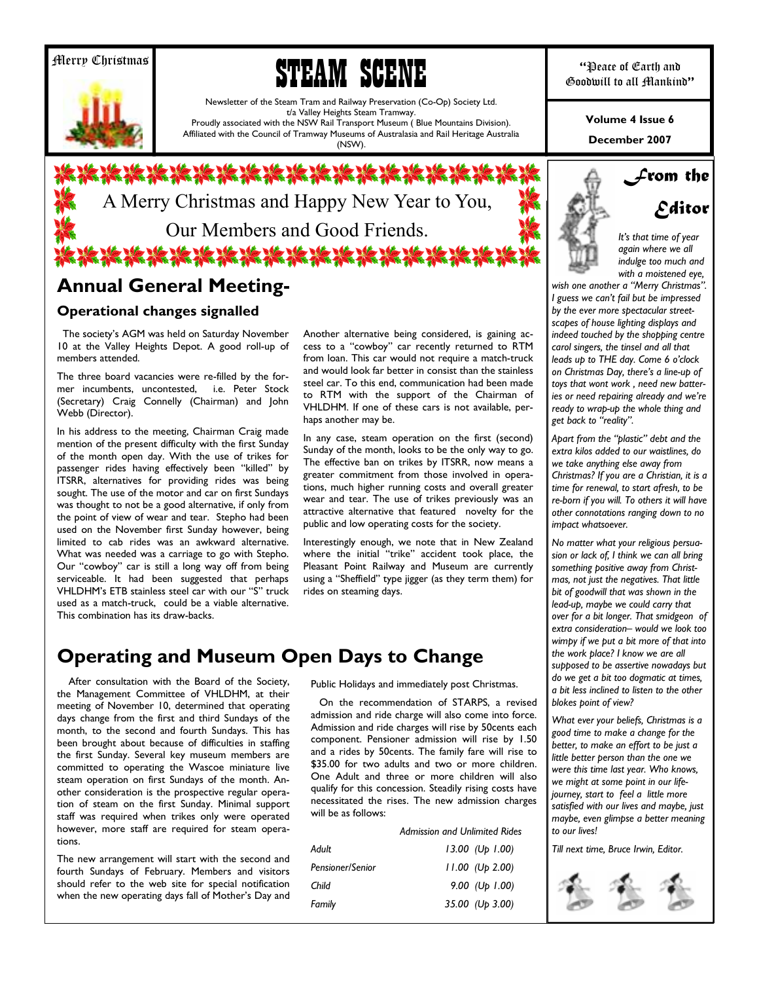### Merry Christmas





Newsletter of the Steam Tram and Railway Preservation (Co-Op) Society Ltd. t/a Valley Heights Steam Tramway. Proudly associated with the NSW Rail Transport Museum ( Blue Mountains Division). Affiliated with the Council of Tramway Museums of Australasia and Rail Heritage Australia

(NSW).

# \*\*\*\*\*\*\*\*\*\*\*\*\*\*\*\*\*\*\* A Merry Christmas and Happy New Year to You, Our Members and Good Friends. **幻想治治治治治治治治治治治治治**

# **Annual General Meeting-**

### **Operational changes signalled**

The society's AGM was held on Saturday November 10 at the Valley Heights Depot. A good roll-up of members attended.

The three board vacancies were re-filled by the former incumbents, uncontested, i.e. Peter Stock (Secretary) Craig Connelly (Chairman) and John Webb (Director).

In his address to the meeting, Chairman Craig made mention of the present difficulty with the first Sunday of the month open day. With the use of trikes for passenger rides having effectively been "killed" by ITSRR, alternatives for providing rides was being sought. The use of the motor and car on first Sundays was thought to not be a good alternative, if only from the point of view of wear and tear. Stepho had been used on the November first Sunday however, being limited to cab rides was an awkward alternative. What was needed was a carriage to go with Stepho. Our "cowboy" car is still a long way off from being serviceable. It had been suggested that perhaps VHLDHM's ETB stainless steel car with our "S" truck used as a match-truck, could be a viable alternative. This combination has its draw-backs.

Another alternative being considered, is gaining access to a "cowboy" car recently returned to RTM from loan. This car would not require a match-truck and would look far better in consist than the stainless steel car. To this end, communication had been made to RTM with the support of the Chairman of VHLDHM. If one of these cars is not available, perhaps another may be.

In any case, steam operation on the first (second) Sunday of the month, looks to be the only way to go. The effective ban on trikes by ITSRR, now means a greater commitment from those involved in operations, much higher running costs and overall greater wear and tear. The use of trikes previously was an attractive alternative that featured novelty for the public and low operating costs for the society.

Interestingly enough, we note that in New Zealand where the initial "trike" accident took place, the Pleasant Point Railway and Museum are currently using a "Sheffield" type jigger (as they term them) for rides on steaming days.

# **Operating and Museum Open Days to Change**

 After consultation with the Board of the Society, the Management Committee of VHLDHM, at their meeting of November 10, determined that operating days change from the first and third Sundays of the month, to the second and fourth Sundays. This has been brought about because of difficulties in staffing the first Sunday. Several key museum members are committed to operating the Wascoe miniature live steam operation on first Sundays of the month. Another consideration is the prospective regular operation of steam on the first Sunday. Minimal support staff was required when trikes only were operated however, more staff are required for steam operations.

The new arrangement will start with the second and fourth Sundays of February. Members and visitors should refer to the web site for special notification when the new operating days fall of Mother's Day and Public Holidays and immediately post Christmas.

 On the recommendation of STARPS, a revised admission and ride charge will also come into force. Admission and ride charges will rise by 50cents each component. Pensioner admission will rise by 1.50 and a rides by 50cents. The family fare will rise to \$35.00 for two adults and two or more children. One Adult and three or more children will also qualify for this concession. Steadily rising costs have necessitated the rises. The new admission charges will be as follows:

*Admission and Unlimited Rides* 

| $13.00$ (Up 1.00) |
|-------------------|
| $11.00$ (Up 2.00) |
| 9.00 (Up $1.00$ ) |
| 35.00 (Up 3.00)   |
|                   |

**December 2007 Volume 4 Issue 6** 



*Editor* 

*From the* 

*Itís that time of year again where we all indulge too much and with a moistened eye,* 

wish one another a "Merry Christmas". *I guess we canít fail but be impressed by the ever more spectacular streetscapes of house lighting displays and indeed touched by the shopping centre carol singers, the tinsel and all that leads up to THE day. Come 6 oíclock on Christmas Day, thereís a line-up of toys that wont work , need new batteries or need repairing already and weíre ready to wrap-up the whole thing and*  get back to "reality".

Apart from the "plastic" debt and the *extra kilos added to our waistlines, do we take anything else away from Christmas? If you are a Christian, it is a time for renewal, to start afresh, to be re-born if you will. To others it will have other connotations ranging down to no impact whatsoever.* 

*No matter what your religious persuasion or lack of, I think we can all bring something positive away from Christmas, not just the negatives. That little bit of goodwill that was shown in the lead-up, maybe we could carry that over for a bit longer. That smidgeon of*   $extra$  consideration- would we look too *wimpy if we put a bit more of that into the work place? I know we are all supposed to be assertive nowadays but do we get a bit too dogmatic at times, a bit less inclined to listen to the other blokes point of view?* 

*What ever your beliefs, Christmas is a good time to make a change for the better, to make an effort to be just a little better person than the one we were this time last year. Who knows, we might at some point in our lifejourney, start to feel a little more satisfied with our lives and maybe, just maybe, even glimpse a better meaning to our lives!* 

*Till next time, Bruce Irwin, Editor.* 

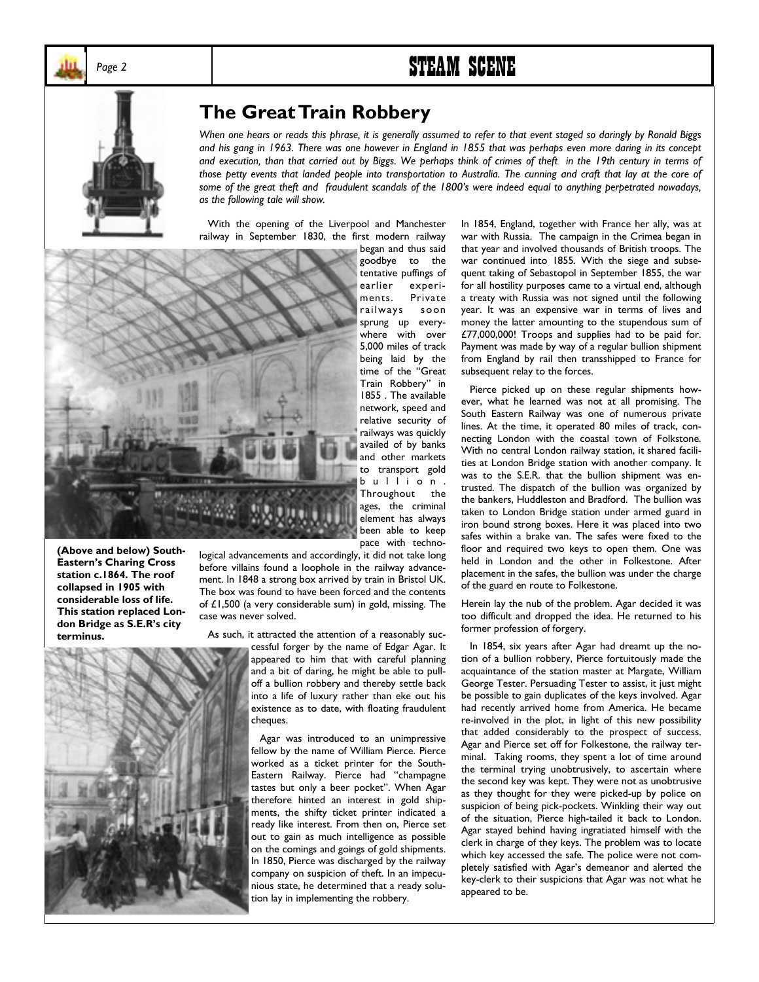

# Page 2 **STEAM SCENE**



## **The Great Train Robbery**

*When one hears or reads this phrase, it is generally assumed to refer to that event staged so daringly by Ronald Biggs and his gang in 1963. There was one however in England in 1855 that was perhaps even more daring in its concept and execution, than that carried out by Biggs. We perhaps think of crimes of theft in the 19th century in terms of those petty events that landed people into transportation to Australia. The cunning and craft that lay at the core of*  some of the great theft and fraudulent scandals of the 1800's were indeed equal to anything perpetrated nowadays, *as the following tale will show.* 

 With the opening of the Liverpool and Manchester railway in September 1830, the first modern railway



**(Above and below) South-Eastern's Charing Cross station c.1864. The roof collapsed in 1905 with considerable loss of life. This station replaced London Bridge as S.E.Rís city terminus.** 

logical advancements and accordingly, it did not take long before villains found a loophole in the railway advancement. In 1848 a strong box arrived by train in Bristol UK. The box was found to have been forced and the contents of £1,500 (a very considerable sum) in gold, missing. The case was never solved.

As such, it attracted the attention of a reasonably suc-



cessful forger by the name of Edgar Agar. It appeared to him that with careful planning and a bit of daring, he might be able to pulloff a bullion robbery and thereby settle back into a life of luxury rather than eke out his existence as to date, with floating fraudulent cheques.

 Agar was introduced to an unimpressive fellow by the name of William Pierce. Pierce worked as a ticket printer for the South-Eastern Railway. Pierce had "champagne tastes but only a beer pocket". When Agar therefore hinted an interest in gold shipments, the shifty ticket printer indicated a ready like interest. From then on, Pierce set out to gain as much intelligence as possible on the comings and goings of gold shipments. In 1850, Pierce was discharged by the railway company on suspicion of theft. In an impecunious state, he determined that a ready solution lay in implementing the robbery.

In 1854, England, together with France her ally, was at war with Russia. The campaign in the Crimea began in that year and involved thousands of British troops. The war continued into 1855. With the siege and subsequent taking of Sebastopol in September 1855, the war for all hostility purposes came to a virtual end, although a treaty with Russia was not signed until the following year. It was an expensive war in terms of lives and money the latter amounting to the stupendous sum of £77,000,000! Troops and supplies had to be paid for. Payment was made by way of a regular bullion shipment from England by rail then transshipped to France for subsequent relay to the forces.

 Pierce picked up on these regular shipments however, what he learned was not at all promising. The South Eastern Railway was one of numerous private lines. At the time, it operated 80 miles of track, connecting London with the coastal town of Folkstone. With no central London railway station, it shared facilities at London Bridge station with another company. It was to the S.E.R. that the bullion shipment was entrusted. The dispatch of the bullion was organized by the bankers, Huddleston and Bradford. The bullion was taken to London Bridge station under armed guard in iron bound strong boxes. Here it was placed into two safes within a brake van. The safes were fixed to the floor and required two keys to open them. One was held in London and the other in Folkestone. After placement in the safes, the bullion was under the charge of the guard en route to Folkestone.

Herein lay the nub of the problem. Agar decided it was too difficult and dropped the idea. He returned to his former profession of forgery.

 In 1854, six years after Agar had dreamt up the notion of a bullion robbery, Pierce fortuitously made the acquaintance of the station master at Margate, William George Tester. Persuading Tester to assist, it just might be possible to gain duplicates of the keys involved. Agar had recently arrived home from America. He became re-involved in the plot, in light of this new possibility that added considerably to the prospect of success. Agar and Pierce set off for Folkestone, the railway terminal. Taking rooms, they spent a lot of time around the terminal trying unobtrusively, to ascertain where the second key was kept. They were not as unobtrusive as they thought for they were picked-up by police on suspicion of being pick-pockets. Winkling their way out of the situation, Pierce high-tailed it back to London. Agar stayed behind having ingratiated himself with the clerk in charge of they keys. The problem was to locate which key accessed the safe. The police were not completely satisfied with Agar's demeanor and alerted the key-clerk to their suspicions that Agar was not what he appeared to be.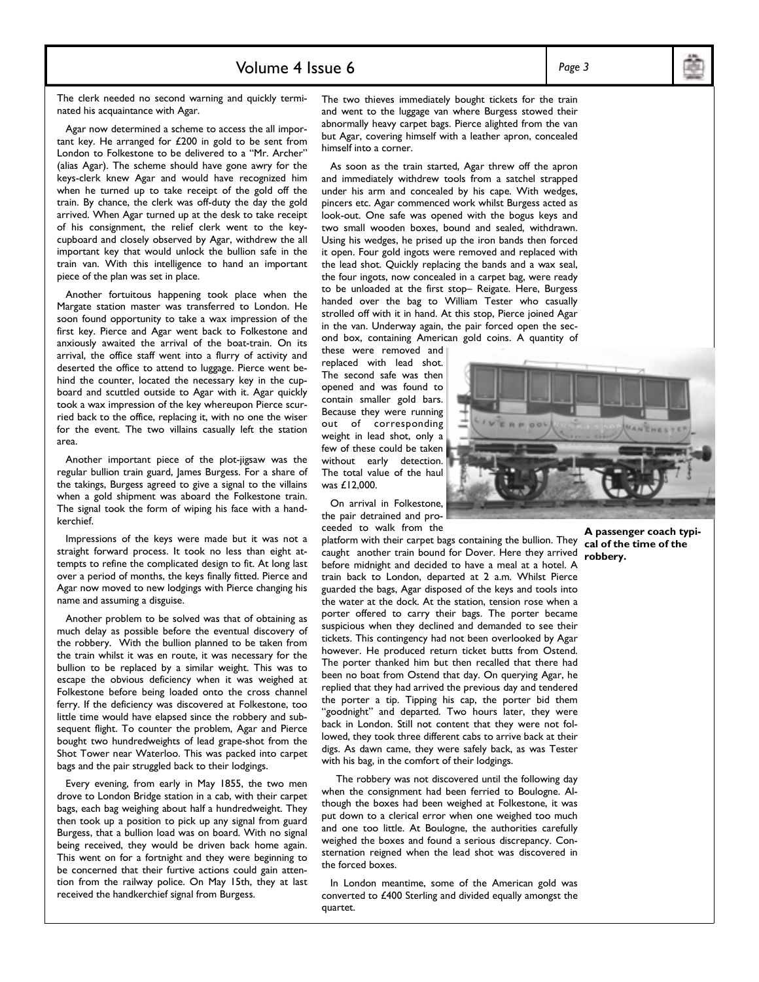### Volume 4 Issue 6 *Page 3*

The clerk needed no second warning and quickly terminated his acquaintance with Agar.

 Agar now determined a scheme to access the all important key. He arranged for £200 in gold to be sent from London to Folkestone to be delivered to a "Mr. Archer" (alias Agar). The scheme should have gone awry for the keys-clerk knew Agar and would have recognized him when he turned up to take receipt of the gold off the train. By chance, the clerk was off-duty the day the gold arrived. When Agar turned up at the desk to take receipt of his consignment, the relief clerk went to the keycupboard and closely observed by Agar, withdrew the all important key that would unlock the bullion safe in the train van. With this intelligence to hand an important piece of the plan was set in place.

 Another fortuitous happening took place when the Margate station master was transferred to London. He soon found opportunity to take a wax impression of the first key. Pierce and Agar went back to Folkestone and anxiously awaited the arrival of the boat-train. On its arrival, the office staff went into a flurry of activity and deserted the office to attend to luggage. Pierce went behind the counter, located the necessary key in the cupboard and scuttled outside to Agar with it. Agar quickly took a wax impression of the key whereupon Pierce scurried back to the office, replacing it, with no one the wiser for the event. The two villains casually left the station area.

 Another important piece of the plot-jigsaw was the regular bullion train guard, James Burgess. For a share of the takings, Burgess agreed to give a signal to the villains when a gold shipment was aboard the Folkestone train. The signal took the form of wiping his face with a handkerchief.

 Impressions of the keys were made but it was not a straight forward process. It took no less than eight attempts to refine the complicated design to fit. At long last over a period of months, the keys finally fitted. Pierce and Agar now moved to new lodgings with Pierce changing his name and assuming a disguise.

 Another problem to be solved was that of obtaining as much delay as possible before the eventual discovery of the robbery. With the bullion planned to be taken from the train whilst it was en route, it was necessary for the bullion to be replaced by a similar weight. This was to escape the obvious deficiency when it was weighed at Folkestone before being loaded onto the cross channel ferry. If the deficiency was discovered at Folkestone, too little time would have elapsed since the robbery and subsequent flight. To counter the problem, Agar and Pierce bought two hundredweights of lead grape-shot from the Shot Tower near Waterloo. This was packed into carpet bags and the pair struggled back to their lodgings.

 Every evening, from early in May 1855, the two men drove to London Bridge station in a cab, with their carpet bags, each bag weighing about half a hundredweight. They then took up a position to pick up any signal from guard Burgess, that a bullion load was on board. With no signal being received, they would be driven back home again. This went on for a fortnight and they were beginning to be concerned that their furtive actions could gain attention from the railway police. On May 15th, they at last received the handkerchief signal from Burgess.

The two thieves immediately bought tickets for the train and went to the luggage van where Burgess stowed their abnormally heavy carpet bags. Pierce alighted from the van but Agar, covering himself with a leather apron, concealed himself into a corner.

 As soon as the train started, Agar threw off the apron and immediately withdrew tools from a satchel strapped under his arm and concealed by his cape. With wedges, pincers etc. Agar commenced work whilst Burgess acted as look-out. One safe was opened with the bogus keys and two small wooden boxes, bound and sealed, withdrawn. Using his wedges, he prised up the iron bands then forced it open. Four gold ingots were removed and replaced with the lead shot. Quickly replacing the bands and a wax seal, the four ingots, now concealed in a carpet bag, were ready to be unloaded at the first stop- Reigate. Here, Burgess handed over the bag to William Tester who casually strolled off with it in hand. At this stop, Pierce joined Agar in the van. Underway again, the pair forced open the second box, containing American gold coins. A quantity of

these were removed and replaced with lead shot. The second safe was then opened and was found to contain smaller gold bars. Because they were running out of corresponding weight in lead shot, only a few of these could be taken without early detection. The total value of the haul was £12,000.

 On arrival in Folkestone, the pair detrained and proceeded to walk from the

platform with their carpet bags containing the bullion. They caught another train bound for Dover. Here they arrived before midnight and decided to have a meal at a hotel. A train back to London, departed at 2 a.m. Whilst Pierce guarded the bags, Agar disposed of the keys and tools into the water at the dock. At the station, tension rose when a porter offered to carry their bags. The porter became suspicious when they declined and demanded to see their tickets. This contingency had not been overlooked by Agar however. He produced return ticket butts from Ostend. The porter thanked him but then recalled that there had been no boat from Ostend that day. On querying Agar, he replied that they had arrived the previous day and tendered the porter a tip. Tipping his cap, the porter bid them "goodnight" and departed. Two hours later, they were back in London. Still not content that they were not followed, they took three different cabs to arrive back at their digs. As dawn came, they were safely back, as was Tester with his bag, in the comfort of their lodgings.

 The robbery was not discovered until the following day when the consignment had been ferried to Boulogne. Although the boxes had been weighed at Folkestone, it was put down to a clerical error when one weighed too much and one too little. At Boulogne, the authorities carefully weighed the boxes and found a serious discrepancy. Consternation reigned when the lead shot was discovered in the forced boxes.

 In London meantime, some of the American gold was converted to £400 Sterling and divided equally amongst the quartet.



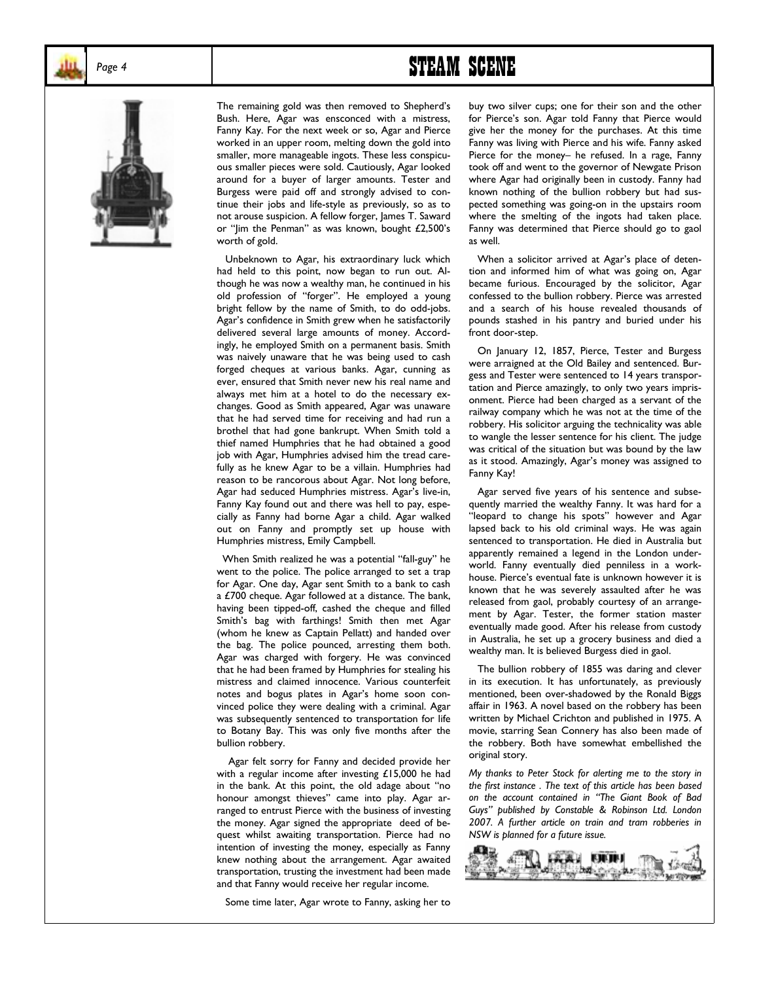

# Page 4 **STEAM SCENE**



The remaining gold was then removed to Shepherd's Bush. Here, Agar was ensconced with a mistress, Fanny Kay. For the next week or so, Agar and Pierce worked in an upper room, melting down the gold into smaller, more manageable ingots. These less conspicuous smaller pieces were sold. Cautiously, Agar looked around for a buyer of larger amounts. Tester and Burgess were paid off and strongly advised to continue their jobs and life-style as previously, so as to not arouse suspicion. A fellow forger, James T. Saward or "Jim the Penman" as was known, bought  $£2,500$ 's worth of gold.

 Unbeknown to Agar, his extraordinary luck which had held to this point, now began to run out. Although he was now a wealthy man, he continued in his old profession of "forger". He employed a young bright fellow by the name of Smith, to do odd-jobs. Agar's confidence in Smith grew when he satisfactorily delivered several large amounts of money. Accordingly, he employed Smith on a permanent basis. Smith was naively unaware that he was being used to cash forged cheques at various banks. Agar, cunning as ever, ensured that Smith never new his real name and always met him at a hotel to do the necessary exchanges. Good as Smith appeared, Agar was unaware that he had served time for receiving and had run a brothel that had gone bankrupt. When Smith told a thief named Humphries that he had obtained a good job with Agar, Humphries advised him the tread carefully as he knew Agar to be a villain. Humphries had reason to be rancorous about Agar. Not long before, Agar had seduced Humphries mistress. Agar's live-in, Fanny Kay found out and there was hell to pay, especially as Fanny had borne Agar a child. Agar walked out on Fanny and promptly set up house with Humphries mistress, Emily Campbell.

When Smith realized he was a potential "fall-guy" he went to the police. The police arranged to set a trap for Agar. One day, Agar sent Smith to a bank to cash a £700 cheque. Agar followed at a distance. The bank, having been tipped-off, cashed the cheque and filled Smith's bag with farthings! Smith then met Agar (whom he knew as Captain Pellatt) and handed over the bag. The police pounced, arresting them both. Agar was charged with forgery. He was convinced that he had been framed by Humphries for stealing his mistress and claimed innocence. Various counterfeit notes and bogus plates in Agar's home soon convinced police they were dealing with a criminal. Agar was subsequently sentenced to transportation for life to Botany Bay. This was only five months after the bullion robbery.

 Agar felt sorry for Fanny and decided provide her with a regular income after investing £15,000 he had in the bank. At this point, the old adage about "no honour amongst thieves" came into play. Agar arranged to entrust Pierce with the business of investing the money. Agar signed the appropriate deed of bequest whilst awaiting transportation. Pierce had no intention of investing the money, especially as Fanny knew nothing about the arrangement. Agar awaited transportation, trusting the investment had been made and that Fanny would receive her regular income.

Some time later, Agar wrote to Fanny, asking her to

buy two silver cups; one for their son and the other for Pierce's son. Agar told Fanny that Pierce would give her the money for the purchases. At this time Fanny was living with Pierce and his wife. Fanny asked Pierce for the money- he refused. In a rage, Fanny took off and went to the governor of Newgate Prison where Agar had originally been in custody. Fanny had known nothing of the bullion robbery but had suspected something was going-on in the upstairs room where the smelting of the ingots had taken place. Fanny was determined that Pierce should go to gaol as well.

When a solicitor arrived at Agar's place of detention and informed him of what was going on, Agar became furious. Encouraged by the solicitor, Agar confessed to the bullion robbery. Pierce was arrested and a search of his house revealed thousands of pounds stashed in his pantry and buried under his front door-step.

 On January 12, 1857, Pierce, Tester and Burgess were arraigned at the Old Bailey and sentenced. Burgess and Tester were sentenced to 14 years transportation and Pierce amazingly, to only two years imprisonment. Pierce had been charged as a servant of the railway company which he was not at the time of the robbery. His solicitor arguing the technicality was able to wangle the lesser sentence for his client. The judge was critical of the situation but was bound by the law as it stood. Amazingly, Agar's money was assigned to Fanny Kay!

 Agar served five years of his sentence and subsequently married the wealthy Fanny. It was hard for a "leopard to change his spots" however and Agar lapsed back to his old criminal ways. He was again sentenced to transportation. He died in Australia but apparently remained a legend in the London underworld. Fanny eventually died penniless in a workhouse. Pierce's eventual fate is unknown however it is known that he was severely assaulted after he was released from gaol, probably courtesy of an arrangement by Agar. Tester, the former station master eventually made good. After his release from custody in Australia, he set up a grocery business and died a wealthy man. It is believed Burgess died in gaol.

 The bullion robbery of 1855 was daring and clever in its execution. It has unfortunately, as previously mentioned, been over-shadowed by the Ronald Biggs affair in 1963. A novel based on the robbery has been written by Michael Crichton and published in 1975. A movie, starring Sean Connery has also been made of the robbery. Both have somewhat embellished the original story.

*My thanks to Peter Stock for alerting me to the story in the first instance . The text of this article has been based on the account contained in ìThe Giant Book of Bad Guysî published by Constable & Robinson Ltd. London 2007. A further article on train and tram robberies in NSW is planned for a future issue.* 

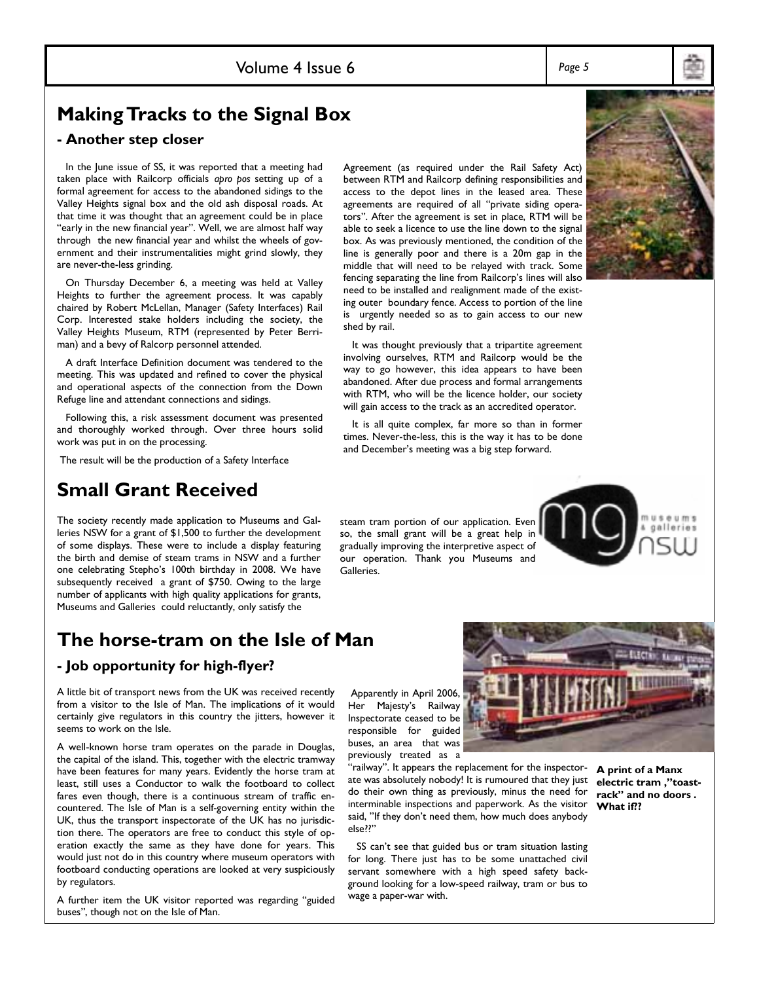### Volume 4 Issue 6 *Page 5*

## **Making Tracks to the Signal Box**

### **- Another step closer**

 In the June issue of SS, it was reported that a meeting had taken place with Railcorp officials *apro pos* setting up of a formal agreement for access to the abandoned sidings to the Valley Heights signal box and the old ash disposal roads. At that time it was thought that an agreement could be in place "early in the new financial year". Well, we are almost half way through the new financial year and whilst the wheels of government and their instrumentalities might grind slowly, they are never-the-less grinding.

 On Thursday December 6, a meeting was held at Valley Heights to further the agreement process. It was capably chaired by Robert McLellan, Manager (Safety Interfaces) Rail Corp. Interested stake holders including the society, the Valley Heights Museum, RTM (represented by Peter Berriman) and a bevy of Ralcorp personnel attended.

 A draft Interface Definition document was tendered to the meeting. This was updated and refined to cover the physical and operational aspects of the connection from the Down Refuge line and attendant connections and sidings.

 Following this, a risk assessment document was presented and thoroughly worked through. Over three hours solid work was put in on the processing.

The result will be the production of a Safety Interface

## **Small Grant Received**

The society recently made application to Museums and Galleries NSW for a grant of \$1,500 to further the development of some displays. These were to include a display featuring the birth and demise of steam trams in NSW and a further one celebrating Stepho's 100th birthday in 2008. We have subsequently received a grant of \$750. Owing to the large number of applicants with high quality applications for grants, Museums and Galleries could reluctantly, only satisfy the

# **The horse-tram on the Isle of Man**

### **- Job opportunity for high-flyer?**

A little bit of transport news from the UK was received recently from a visitor to the Isle of Man. The implications of it would certainly give regulators in this country the jitters, however it seems to work on the Isle.

A well-known horse tram operates on the parade in Douglas, the capital of the island. This, together with the electric tramway have been features for many years. Evidently the horse tram at least, still uses a Conductor to walk the footboard to collect fares even though, there is a continuous stream of traffic encountered. The Isle of Man is a self-governing entity within the UK, thus the transport inspectorate of the UK has no jurisdiction there. The operators are free to conduct this style of operation exactly the same as they have done for years. This would just not do in this country where museum operators with footboard conducting operations are looked at very suspiciously by regulators.

A further item the UK visitor reported was regarding "guided buses", though not on the Isle of Man.

 Apparently in April 2006, Her Majesty's Railway Inspectorate ceased to be responsible for guided buses, an area that was previously treated as a

"railway". It appears the replacement for the inspectorate was absolutely nobody! It is rumoured that they just do their own thing as previously, minus the need for interminable inspections and paperwork. As the visitor said, "If they don't need them, how much does anybody else??"

SS can't see that guided bus or tram situation lasting for long. There just has to be some unattached civil servant somewhere with a high speed safety background looking for a low-speed railway, tram or bus to wage a paper-war with.

**A print of a Manx**  electric tram ,"toastrack" and no doors . **What if??** 

 It was thought previously that a tripartite agreement involving ourselves, RTM and Railcorp would be the way to go however, this idea appears to have been abandoned. After due process and formal arrangements with RTM, who will be the licence holder, our society will gain access to the track as an accredited operator.

ing outer boundary fence. Access to portion of the line is urgently needed so as to gain access to our new

shed by rail.

 It is all quite complex, far more so than in former times. Never-the-less, this is the way it has to be done and December's meeting was a big step forward.

so, the small grant will be a great help in gradually improving the interpretive aspect of our operation. Thank you Museums and Galleries.